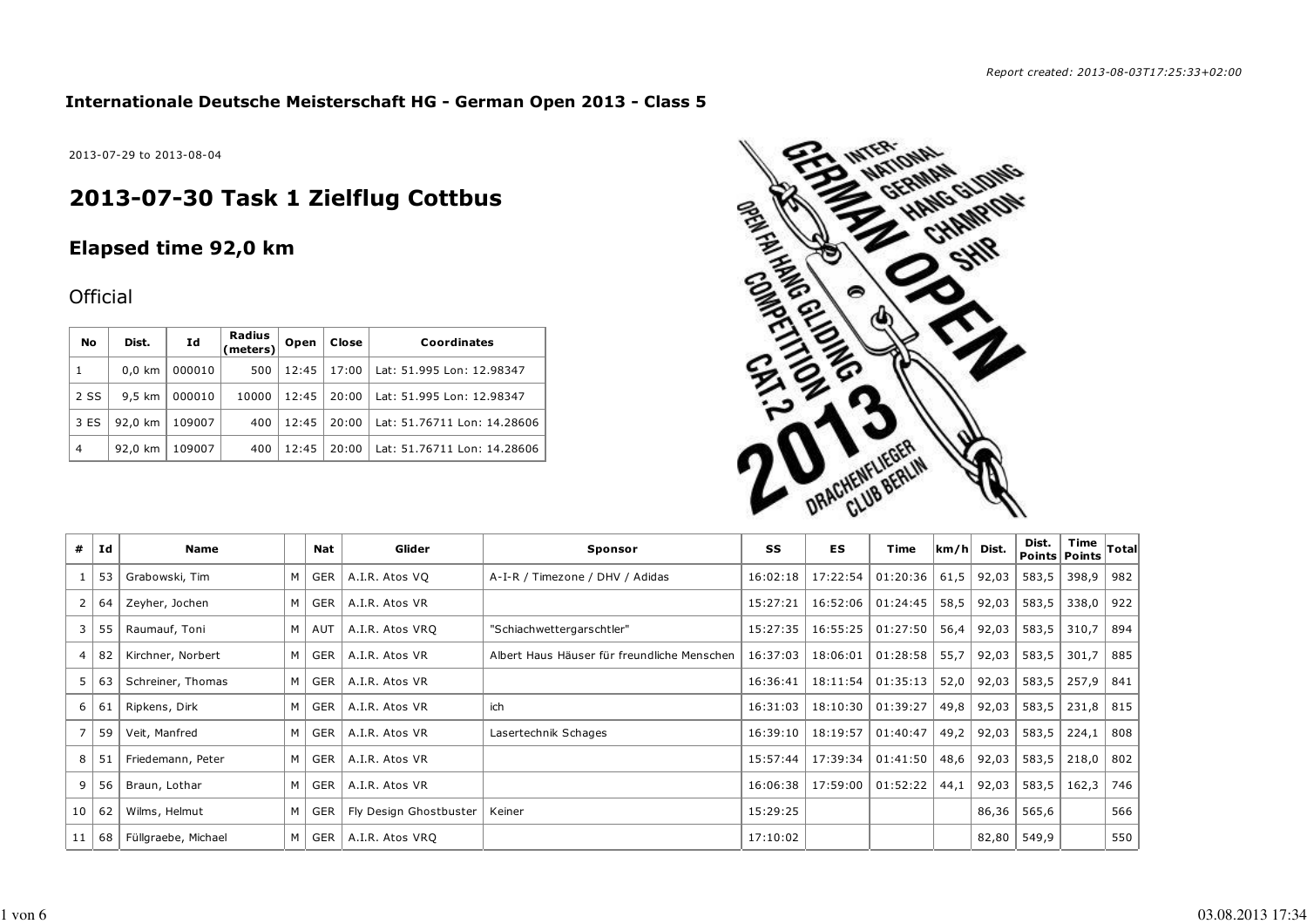### **Internationale Deutsche Meisterschaft HG - German Open 2013 - Class 5**

2013-07-29 to 2013-08-04

# **2013-07-30 Task 1 Zielflug Cottbus**

## **Elapsed time 92,0 km**

### **Official**

| No             | Dist.    | Id     | Radius<br>$\left  \text{(meters)} \right $ | Open  | Close | Coordinates                 |
|----------------|----------|--------|--------------------------------------------|-------|-------|-----------------------------|
| 1              | $0,0$ km | 000010 | 500                                        | 12:45 | 17:00 | Lat: 51.995 Lon: 12.98347   |
| 2 SS           | 9.5 km   | 000010 | 10000                                      | 12:45 | 20:00 | Lat: 51.995 Lon: 12.98347   |
| 3 ES           | 92.0 km  | 109007 | 400                                        | 12:45 | 20:00 | Lat: 51.76711 Lon: 14.28606 |
| $\overline{4}$ | 92,0 km  | 109007 | 400                                        | 12:45 | 20:00 | Lat: 51.76711 Lon: 14.28606 |



| #            | Id | Name                |   | Nat          | Glider                 | Sponsor                                     | SS       | ES       | Time     | km/h | Dist. | Dist.<br>Points   Points | Time  | $\sf {Total}$ |
|--------------|----|---------------------|---|--------------|------------------------|---------------------------------------------|----------|----------|----------|------|-------|--------------------------|-------|---------------|
|              | 53 | Grabowski, Tim      |   | M   GER      | A.I.R. Atos VQ         | A-I-R / Timezone / DHV / Adidas             | 16:02:18 | 17:22:54 | 01:20:36 | 61,5 | 92,03 | 583,5                    | 398,9 | 982           |
| $\mathbf{2}$ | 64 | Zeyher, Jochen      |   | M GER        | A.I.R. Atos VR         |                                             | 15:27:21 | 16:52:06 | 01:24:45 | 58,5 | 92,03 | 583,5                    | 338,0 | 922           |
| 3            | 55 | Raumauf, Toni       |   | $M \mid AUT$ | A.I.R. Atos VRO        | "Schiachwettergarschtler"                   | 15:27:35 | 16:55:25 | 01:27:50 | 56,4 | 92,03 | 583,5                    | 310,7 | 894           |
| 4            | 82 | Kirchner, Norbert   |   | $M \mid GER$ | A.I.R. Atos VR         | Albert Haus Häuser für freundliche Menschen | 16:37:03 | 18:06:01 | 01:28:58 | 55,7 | 92,03 | 583,5                    | 301,7 | 885           |
| 5 I          | 63 | Schreiner, Thomas   |   | $M \mid GER$ | A.I.R. Atos VR         |                                             | 16:36:41 | 18:11:54 | 01:35:13 | 52,0 | 92,03 | 583,5                    | 257,9 | 841           |
| 6            | 61 | Ripkens, Dirk       | M | GER          | A.I.R. Atos VR         | ich                                         | 16:31:03 | 18:10:30 | 01:39:27 | 49,8 | 92,03 | 583,5                    | 231,8 | 815           |
|              | 59 | Veit, Manfred       |   | $M \mid GER$ | A.I.R. Atos VR         | Lasertechnik Schages                        | 16:39:10 | 18:19:57 | 01:40:47 | 49,2 | 92,03 | 583,5                    | 224,1 | 808           |
| 8            | 51 | Friedemann, Peter   |   | M   GER      | A.I.R. Atos VR         |                                             | 15:57:44 | 17:39:34 | 01:41:50 | 48,6 | 92,03 | 583,5                    | 218,0 | 802           |
| 9            | 56 | Braun, Lothar       |   | M   GER      | A.I.R. Atos VR         |                                             | 16:06:38 | 17:59:00 | 01:52:22 | 44,1 | 92,03 | 583,5                    | 162,3 | 746           |
| 10           | 62 | Wilms, Helmut       | м | GER          | Fly Design Ghostbuster | Keiner                                      | 15:29:25 |          |          |      | 86,36 | 565,6                    |       | 566           |
| 11           | 68 | Füllgraebe, Michael |   | $M \mid GER$ | A.I.R. Atos VRQ        |                                             | 17:10:02 |          |          |      | 82,80 | 549,9                    |       | 550           |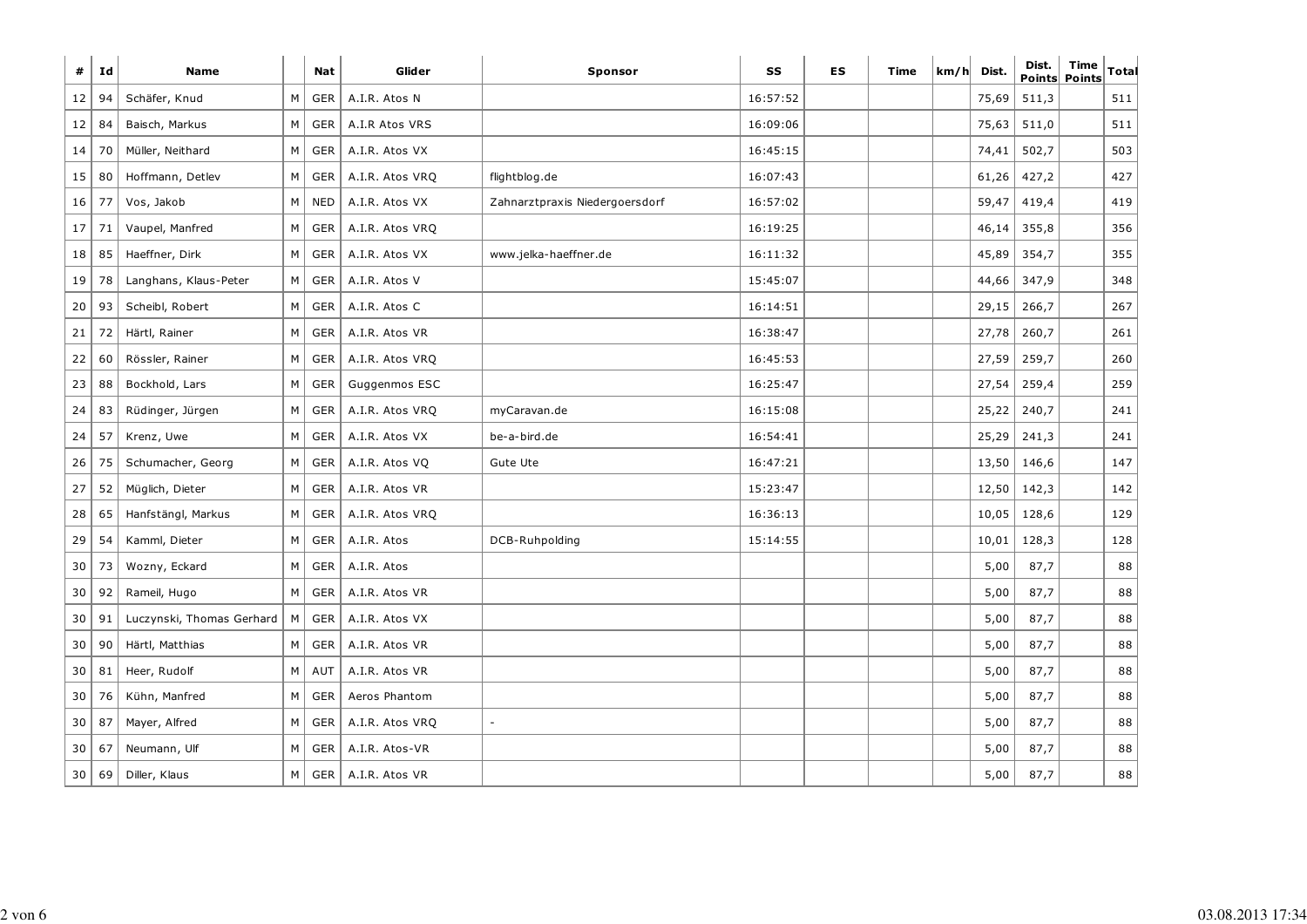| #  | Id | <b>Name</b>               |   | <b>Nat</b> | Glider          | <b>Sponsor</b>                 | SS       | ES | Time | km/h | Dist. | Dist. | Time<br>Points Points | Total |
|----|----|---------------------------|---|------------|-----------------|--------------------------------|----------|----|------|------|-------|-------|-----------------------|-------|
| 12 | 94 | Schäfer, Knud             | M | GER        | A.I.R. Atos N   |                                | 16:57:52 |    |      |      | 75,69 | 511,3 |                       | 511   |
| 12 | 84 | Baisch, Markus            | М | <b>GER</b> | A.I.R Atos VRS  |                                | 16:09:06 |    |      |      | 75,63 | 511,0 |                       | 511   |
| 14 | 70 | Müller, Neithard          | М | <b>GER</b> | A.I.R. Atos VX  |                                | 16:45:15 |    |      |      | 74,41 | 502,7 |                       | 503   |
| 15 | 80 | Hoffmann, Detlev          | M | <b>GER</b> | A.I.R. Atos VRO | flightblog.de                  | 16:07:43 |    |      |      | 61,26 | 427,2 |                       | 427   |
| 16 | 77 | Vos, Jakob                | M | <b>NED</b> | A.I.R. Atos VX  | Zahnarztpraxis Niedergoersdorf | 16:57:02 |    |      |      | 59,47 | 419,4 |                       | 419   |
| 17 | 71 | Vaupel, Manfred           | М | <b>GER</b> | A.I.R. Atos VRQ |                                | 16:19:25 |    |      |      | 46,14 | 355,8 |                       | 356   |
| 18 | 85 | Haeffner, Dirk            | М | <b>GER</b> | A.I.R. Atos VX  | www.jelka-haeffner.de          | 16:11:32 |    |      |      | 45,89 | 354,7 |                       | 355   |
| 19 | 78 | Langhans, Klaus-Peter     | м | <b>GER</b> | A.I.R. Atos V   |                                | 15:45:07 |    |      |      | 44,66 | 347,9 |                       | 348   |
| 20 | 93 | Scheibl, Robert           | М | <b>GER</b> | A.I.R. Atos C   |                                | 16:14:51 |    |      |      | 29,15 | 266,7 |                       | 267   |
| 21 | 72 | Härtl, Rainer             | М | <b>GER</b> | A.I.R. Atos VR  |                                | 16:38:47 |    |      |      | 27,78 | 260,7 |                       | 261   |
| 22 | 60 | Rössler, Rainer           | М | <b>GER</b> | A.I.R. Atos VRQ |                                | 16:45:53 |    |      |      | 27,59 | 259,7 |                       | 260   |
| 23 | 88 | Bockhold, Lars            | М | GER        | Guggenmos ESC   |                                | 16:25:47 |    |      |      | 27,54 | 259,4 |                       | 259   |
| 24 | 83 | Rüdinger, Jürgen          | М | <b>GER</b> | A.I.R. Atos VRQ | myCaravan.de                   | 16:15:08 |    |      |      | 25,22 | 240,7 |                       | 241   |
| 24 | 57 | Krenz, Uwe                | М | GER        | A.I.R. Atos VX  | be-a-bird.de                   | 16:54:41 |    |      |      | 25,29 | 241,3 |                       | 241   |
| 26 | 75 | Schumacher, Georg         | М | <b>GER</b> | A.I.R. Atos VQ  | Gute Ute                       | 16:47:21 |    |      |      | 13,50 | 146,6 |                       | 147   |
| 27 | 52 | Müglich, Dieter           | M | <b>GER</b> | A.I.R. Atos VR  |                                | 15:23:47 |    |      |      | 12,50 | 142,3 |                       | 142   |
| 28 | 65 | Hanfstängl, Markus        | M | <b>GER</b> | A.I.R. Atos VRQ |                                | 16:36:13 |    |      |      | 10,05 | 128,6 |                       | 129   |
| 29 | 54 | Kamml, Dieter             | М | GER        | A.I.R. Atos     | DCB-Ruhpolding                 | 15:14:55 |    |      |      | 10,01 | 128,3 |                       | 128   |
| 30 | 73 | Wozny, Eckard             | м | <b>GER</b> | A.I.R. Atos     |                                |          |    |      |      | 5,00  | 87,7  |                       | 88    |
| 30 | 92 | Rameil, Hugo              | M | <b>GER</b> | A.I.R. Atos VR  |                                |          |    |      |      | 5,00  | 87,7  |                       | 88    |
| 30 | 91 | Luczynski, Thomas Gerhard | M | <b>GER</b> | A.I.R. Atos VX  |                                |          |    |      |      | 5,00  | 87,7  |                       | 88    |
| 30 | 90 | Härtl, Matthias           | M | <b>GER</b> | A.I.R. Atos VR  |                                |          |    |      |      | 5,00  | 87,7  |                       | 88    |
| 30 | 81 | Heer, Rudolf              | М | AUT        | A.I.R. Atos VR  |                                |          |    |      |      | 5,00  | 87,7  |                       | 88    |
| 30 | 76 | Kühn, Manfred             | M | <b>GER</b> | Aeros Phantom   |                                |          |    |      |      | 5,00  | 87,7  |                       | 88    |
| 30 | 87 | Mayer, Alfred             | М | <b>GER</b> | A.I.R. Atos VRQ |                                |          |    |      |      | 5,00  | 87,7  |                       | 88    |
| 30 | 67 | Neumann, Ulf              | М | <b>GER</b> | A.I.R. Atos-VR  |                                |          |    |      |      | 5,00  | 87,7  |                       | 88    |
| 30 | 69 | Diller, Klaus             | M | <b>GER</b> | A.I.R. Atos VR  |                                |          |    |      |      | 5,00  | 87,7  |                       | 88    |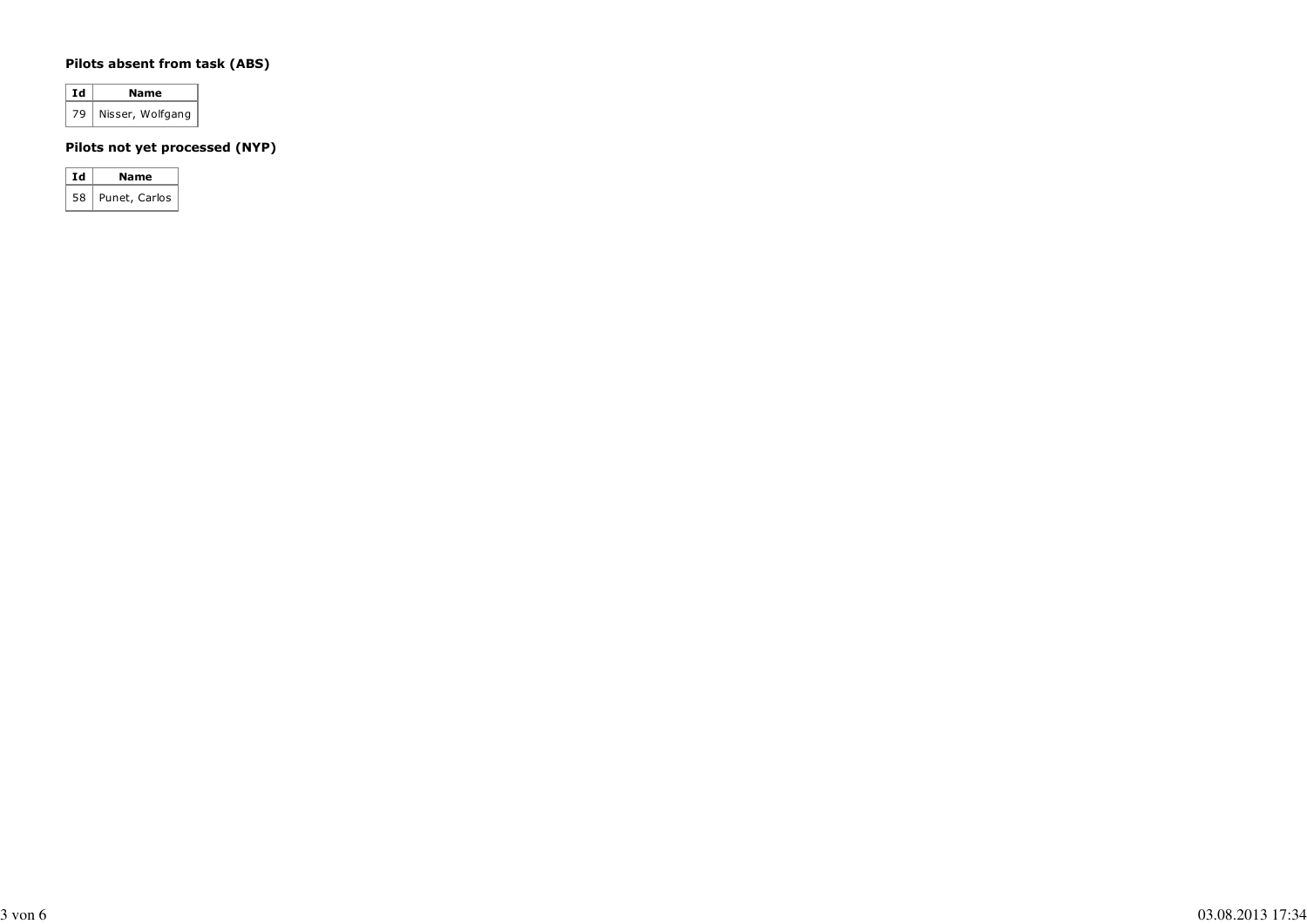#### **Pilots absent from task (ABS)**

| Ιd | Name             |  |  |  |  |  |  |
|----|------------------|--|--|--|--|--|--|
| 79 | Nisser, Wolfgang |  |  |  |  |  |  |

#### **Pilots not yet processed (NYP)**

| Ιd | Name          |
|----|---------------|
| 58 | Punet, Carlos |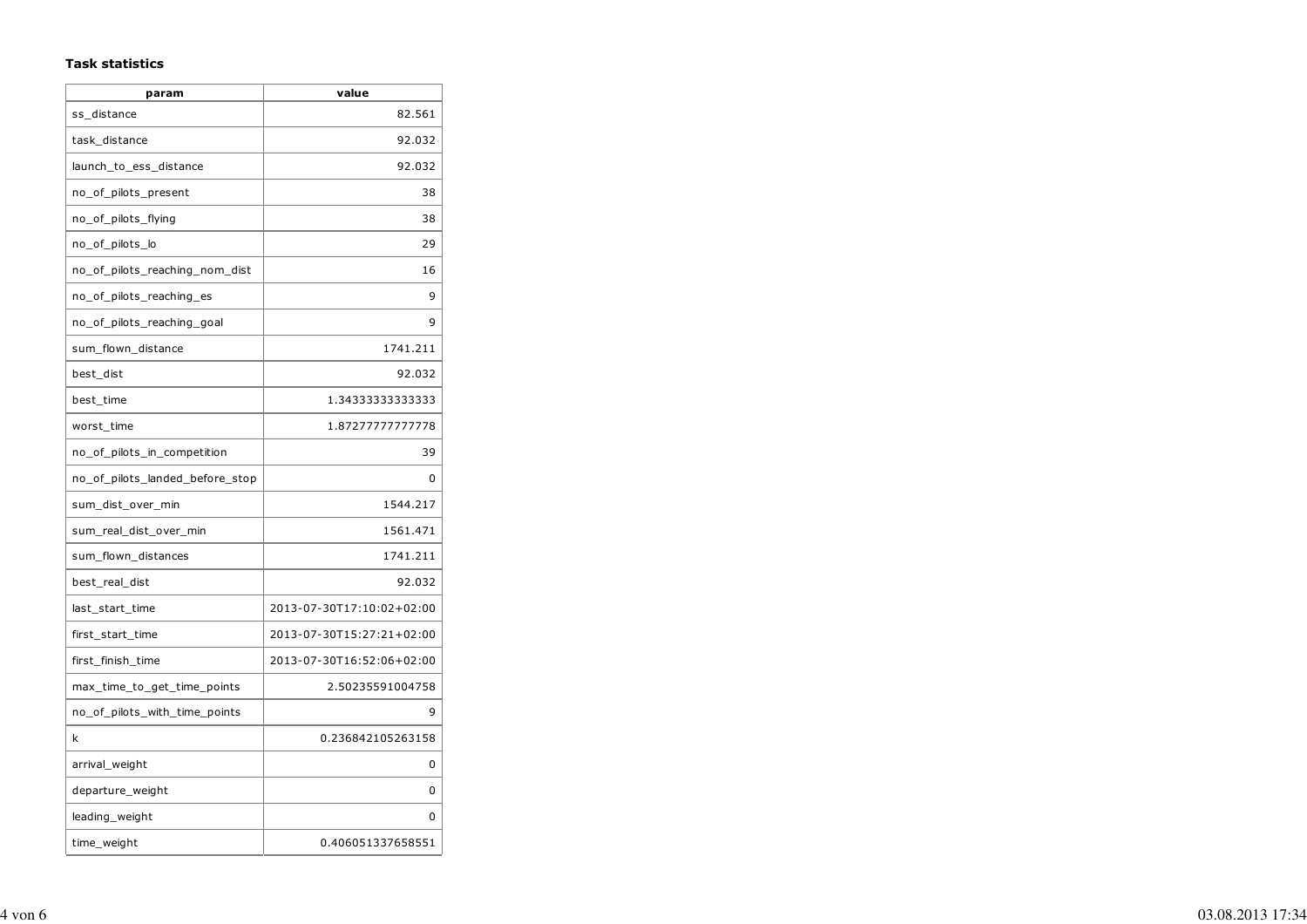#### **Task statistics**

| param                           | value                     |
|---------------------------------|---------------------------|
| ss_distance                     | 82.561                    |
| task distance                   | 92.032                    |
| launch_to_ess_distance          | 92.032                    |
| no_of_pilots_present            | 38                        |
| no_of_pilots_flying             | 38                        |
| no_of_pilots_lo                 | 29                        |
| no_of_pilots_reaching_nom_dist  | 16                        |
| no of pilots reaching es        | 9                         |
| no_of_pilots_reaching_goal      | 9                         |
| sum_flown_distance              | 1741.211                  |
| best_dist                       | 92.032                    |
| best_time                       | 1.34333333333333          |
| worst_time                      | 1.87277777777778          |
| no_of_pilots_in_competition     | 39                        |
| no_of_pilots_landed_before_stop | 0                         |
| sum_dist_over_min               | 1544.217                  |
| sum_real_dist_over_min          | 1561.471                  |
| sum_flown_distances             | 1741.211                  |
| best_real_dist                  | 92.032                    |
| last start time                 | 2013-07-30T17:10:02+02:00 |
| first_start_time                | 2013-07-30T15:27:21+02:00 |
| first_finish_time               | 2013-07-30T16:52:06+02:00 |
| max_time_to_get_time_points     | 2.50235591004758          |
| no_of_pilots_with_time_points   | 9                         |
| k                               | 0.236842105263158         |
| arrival_weight                  | 0                         |
| departure_weight                | 0                         |
| leading_weight                  | n                         |
| time_weight                     | 0.406051337658551         |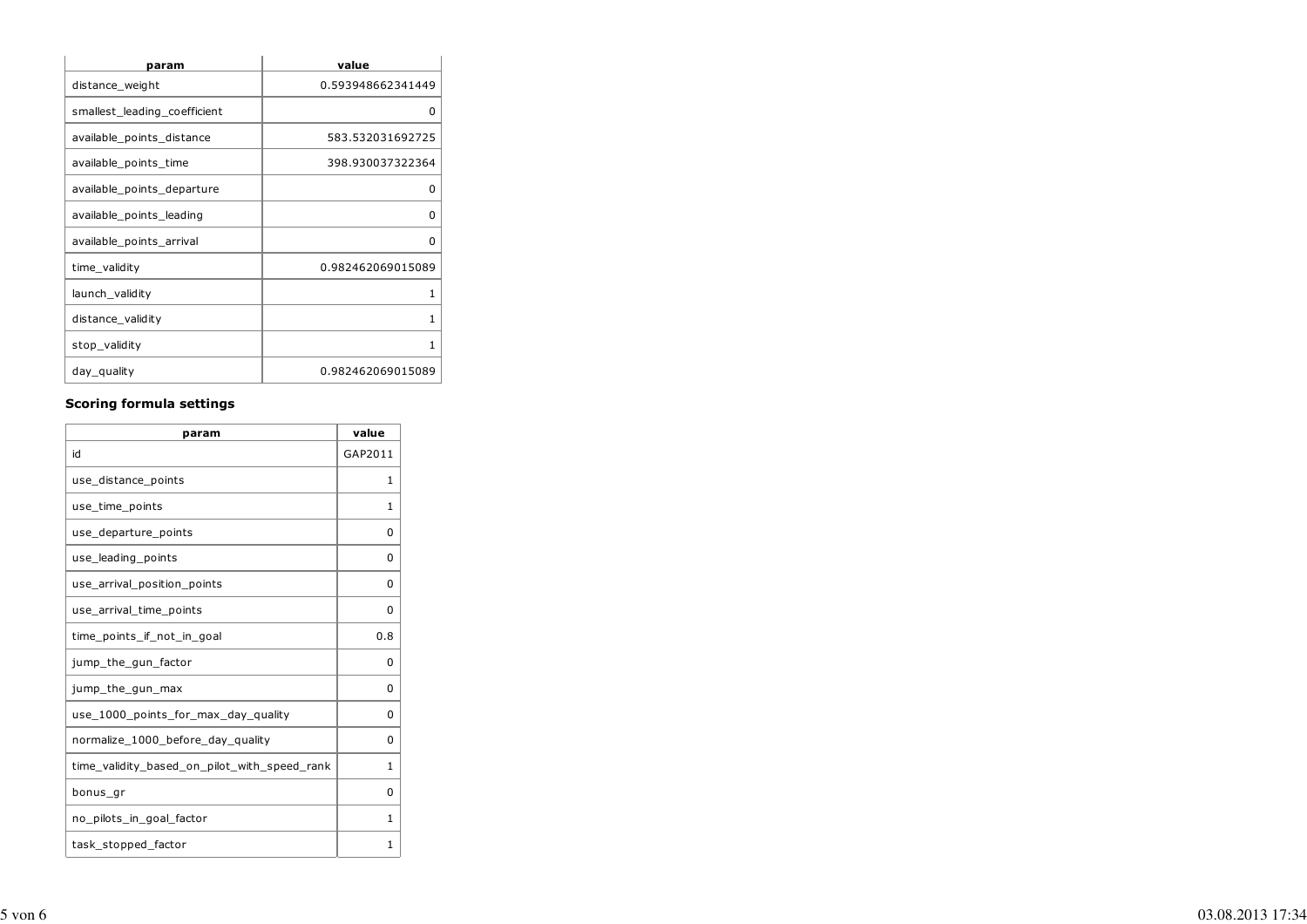| param                        | value             |
|------------------------------|-------------------|
| distance_weight              | 0.593948662341449 |
| smallest_leading_coefficient | O                 |
| available_points_distance    | 583.532031692725  |
| available_points_time        | 398.930037322364  |
| available_points_departure   | O                 |
| available_points_leading     | O                 |
| available_points_arrival     | O                 |
| time_validity                | 0.982462069015089 |
| launch_validity              | 1                 |
| distance_validity            | 1                 |
| stop_validity                | 1                 |
| day_quality                  | 0.982462069015089 |

#### **Scoring formula settings**

| param                                        | value        |
|----------------------------------------------|--------------|
| id                                           | GAP2011      |
| use_distance_points                          | 1            |
| use time points                              | $\mathbf{1}$ |
| use_departure_points                         | 0            |
| use_leading_points                           | 0            |
| use_arrival_position_points                  | 0            |
| use_arrival_time_points                      | 0            |
| time points if not in goal                   | 0.8          |
| jump_the_gun_factor                          | O            |
| jump_the_gun_max                             | 0            |
| use_1000_points_for_max_day_quality          | 0            |
| normalize_1000_before_day_quality            | 0            |
| time_validity_based_on_pilot_with_speed_rank | $\mathbf{1}$ |
| bonus_gr                                     | 0            |
| no_pilots_in_goal_factor                     | $\mathbf{1}$ |
| task_stopped_factor                          | 1            |